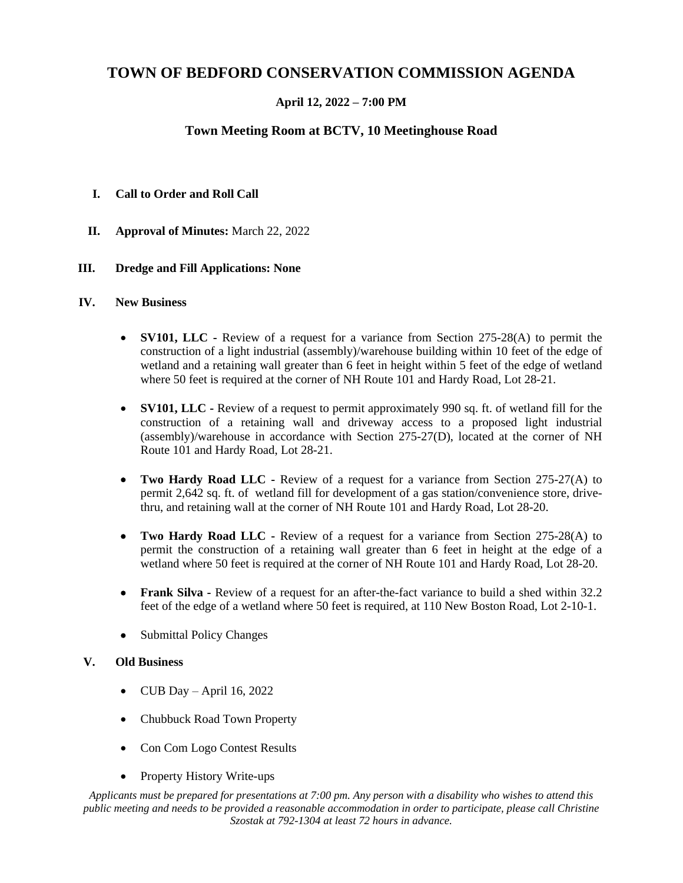# **TOWN OF BEDFORD CONSERVATION COMMISSION AGENDA**

# **April 12, 2022 – 7:00 PM**

# **Town Meeting Room at BCTV, 10 Meetinghouse Road**

## **I. Call to Order and Roll Call**

**II. Approval of Minutes:** March 22, 2022

### **III. Dredge and Fill Applications: None**

#### **IV. New Business**

- **SV101, LLC -** Review of a request for a variance from Section 275-28(A) to permit the construction of a light industrial (assembly)/warehouse building within 10 feet of the edge of wetland and a retaining wall greater than 6 feet in height within 5 feet of the edge of wetland where 50 feet is required at the corner of NH Route 101 and Hardy Road, Lot 28-21.
- **SV101, LLC -** Review of a request to permit approximately 990 sq. ft. of wetland fill for the construction of a retaining wall and driveway access to a proposed light industrial (assembly)/warehouse in accordance with Section 275-27(D), located at the corner of NH Route 101 and Hardy Road, Lot 28-21.
- **Two Hardy Road LLC -** Review of a request for a variance from Section 275-27(A) to permit 2,642 sq. ft. of wetland fill for development of a gas station/convenience store, drivethru, and retaining wall at the corner of NH Route 101 and Hardy Road, Lot 28-20.
- **Two Hardy Road LLC -** Review of a request for a variance from Section 275-28(A) to permit the construction of a retaining wall greater than 6 feet in height at the edge of a wetland where 50 feet is required at the corner of NH Route 101 and Hardy Road, Lot 28-20.
- **Frank Silva -** Review of a request for an after-the-fact variance to build a shed within 32.2 feet of the edge of a wetland where 50 feet is required, at 110 New Boston Road, Lot 2-10-1.
- Submittal Policy Changes

#### **V. Old Business**

- CUB Day April 16, 2022
- Chubbuck Road Town Property
- Con Com Logo Contest Results
- Property History Write-ups

*Applicants must be prepared for presentations at 7:00 pm. Any person with a disability who wishes to attend this public meeting and needs to be provided a reasonable accommodation in order to participate, please call Christine Szostak at 792-1304 at least 72 hours in advance.*